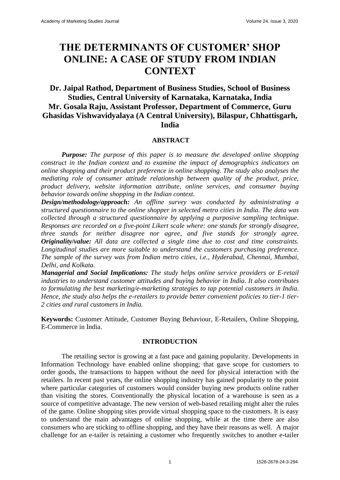# **THE DETERMINANTS OF CUSTOMER' SHOP ONLINE: A CASE OF STUDY FROM INDIAN CONTEXT**

## **Dr. Jaipal Rathod, Department of Business Studies, School of Business Studies, Central University of Karnataka, Karnataka, India Mr. Gosala Raju, Assistant Professor, Department of Commerce, Guru Ghasidas Vishwavidyalaya (A Central University), Bilaspur, Chhattisgarh, India**

## **ABSTRACT**

*Purpose: The purpose of this paper is to measure the developed online shopping construct in the Indian context and to examine the impact of demographics indicators on online shopping and their product preference in online shopping. The study also analyses the mediating role of consumer attitude relationship between quality of the product, price, product delivery, website information attribute, online services, and consumer buying behavior towards online shopping in the Indian context.*

*Design/methodology/approach: An offline survey was conducted by administrating a structured questionnaire to the online shopper in selected metro cities in India. The data was collected through a structured questionnaire by applying a purposive sampling technique. Responses are recorded on a five-point Likert scale where: one stands for strongly disagree, three stands for neither disagree nor agree, and five stands for strongly agree. Originality/value: All data are collected a single time due to cost and time constraints. Longitudinal studies are more suitable to understand the customers purchasing preference. The sample of the survey was from Indian metro cities, i.e., Hyderabad, Chennai, Mumbai, Delhi, and Kolkata.*

*Managerial and Social Implications: The study helps online service providers or E-retail industries to understand customer attitudes and buying behavior in India. It also contributes to formulating the best marketing/e-marketing strategies to tap potential customers in India. Hence, the study also helps the e-retailers to provide better convenient policies to tier-1 tier-2 cities and rural customers in India.*

**Keywords:** Customer Attitude, Customer Buying Behaviour, E-Retailers, Online Shopping, E-Commerce in India.

## **INTRODUCTION**

The retailing sector is growing at a fast pace and gaining popularity. Developments in Information Technology have enabled online shopping; that gave scope for customers to order goods, the transactions to happen without the need for physical interaction with the retailers. In recent past years, the online shopping industry has gained popularity to the point where particular categories of customers would consider buying new products online rather than visiting the stores. Conventionally the physical location of a warehouse is seen as a source of competitive advantage. The new version of web-based retailing might alter the rules of the game. Online shopping sites provide virtual shopping space to the customers. It is easy to understand the main advantages of online shopping, while at the time there are also consumers who are sticking to offline shopping, and they have their reasons as well. A major challenge for an e-tailer is retaining a customer who frequently switches to another e-tailer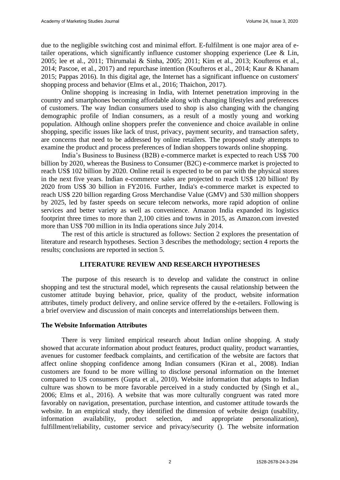due to the negligible switching cost and minimal effort. E-fulfilment is one major area of etailer operations, which significantly influence customer shopping experience (Lee  $\&$  Lin, 2005; lee et al., 2011; Thirumalai & Sinha, 2005; 2011; Kim et al., 2013; Koufteros et al., 2014; Pascoe, et al., 2017) and repurchase intention (Koufteros et al., 2014; Kaur & Khanam 2015; Pappas 2016). In this digital age, the Internet has a significant influence on customers' shopping process and behavior (Elms et al., 2016; Thaichon, 2017).

Online shopping is increasing in India, with Internet penetration improving in the country and smartphones becoming affordable along with changing lifestyles and preferences of customers. The way Indian consumers used to shop is also changing with the changing demographic profile of Indian consumers, as a result of a mostly young and working population. Although online shoppers prefer the convenience and choice available in online shopping, specific issues like lack of trust, privacy, payment security, and transaction safety, are concerns that need to be addressed by online retailers. The proposed study attempts to examine the product and process preferences of Indian shoppers towards online shopping.

India's Business to Business (B2B) e-commerce market is expected to reach US\$ 700 billion by 2020, whereas the Business to Consumer (B2C) e-commerce market is projected to reach US\$ 102 billion by 2020. Online retail is expected to be on par with the physical stores in the next five years. Indian e-commerce sales are projected to reach US\$ 120 billion! By 2020 from US\$ 30 billion in FY2016. Further, India's e-commerce market is expected to reach US\$ 220 billion regarding Gross Merchandise Value (GMV) and 530 million shoppers by 2025, led by faster speeds on secure telecom networks, more rapid adoption of online services and better variety as well as convenience. Amazon India expanded its logistics footprint three times to more than 2,100 cities and towns in 2015, as Amazon.com invested more than US\$ 700 million in its India operations since July 2014.

The rest of this article is structured as follows: Section 2 explores the presentation of literature and research hypotheses. Section 3 describes the methodology; section 4 reports the results; conclusions are reported in section 5.

## **LITERATURE REVIEW AND RESEARCH HYPOTHESES**

The purpose of this research is to develop and validate the construct in online shopping and test the structural model, which represents the causal relationship between the customer attitude buying behavior, price, quality of the product, website information attributes, timely product delivery, and online service offered by the e-retailers. Following is a brief overview and discussion of main concepts and interrelationships between them.

## **The Website Information Attributes**

There is very limited empirical research about Indian online shopping. A study showed that accurate information about product features, product quality, product warranties, avenues for customer feedback complaints, and certification of the website are factors that affect online shopping confidence among Indian consumers (Kiran et al., 2008). Indian customers are found to be more willing to disclose personal information on the Internet compared to US consumers (Gupta et al., 2010). Website information that adapts to Indian culture was shown to be more favorable perceived in a study conducted by (Singh et al., 2006; Elms et al., 2016). A website that was more culturally congruent was rated more favorably on navigation, presentation, purchase intention, and customer attitude towards the website. In an empirical study, they identified the dimension of website design (usability, information availability, product selection, and appropriate personalization), fulfillment/reliability, customer service and privacy/security (). The website information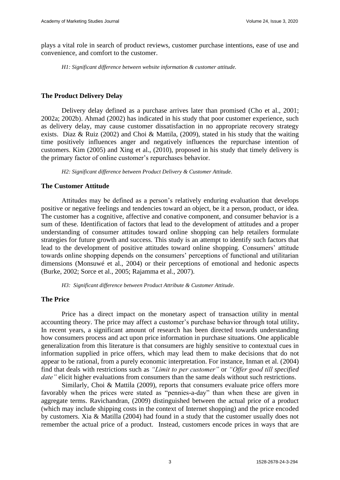plays a vital role in search of product reviews, customer purchase intentions, ease of use and convenience, and comfort to the customer.

*H1: Significant difference between website information & customer attitude.*

#### **The Product Delivery Delay**

Delivery delay defined as a purchase arrives later than promised (Cho et al., 2001; 2002a; 2002b). Ahmad (2002) has indicated in his study that poor customer experience, such as delivery delay, may cause customer dissatisfaction in no appropriate recovery strategy exists. Diaz & Ruiz (2002) and Choi & Mattila, (2009), stated in his study that the waiting time positively influences anger and negatively influences the repurchase intention of customers. Kim (2005) and Xing et al., (2010), proposed in his study that timely delivery is the primary factor of online customer's repurchases behavior.

*H2: Significant difference between Product Delivery & Customer Attitude.*

#### **The Customer Attitude**

Attitudes may be defined as a person's relatively enduring evaluation that develops positive or negative feelings and tendencies toward an object, be it a person, product, or idea. The customer has a cognitive, affective and conative component, and consumer behavior is a sum of these. Identification of factors that lead to the development of attitudes and a proper understanding of consumer attitudes toward online shopping can help retailers formulate strategies for future growth and success. This study is an attempt to identify such factors that lead to the development of positive attitudes toward online shopping. Consumers' attitude towards online shopping depends on the consumers' perceptions of functional and utilitarian dimensions (Monsuwé et al., 2004) or their perceptions of emotional and hedonic aspects (Burke, 2002; Sorce et al., 2005; Rajamma et al., 2007).

*H3: Significant difference between Product Attribute & Customer Attitude.*

#### **The Price**

Price has a direct impact on the monetary aspect of transaction utility in mental accounting theory. The price may affect a customer's purchase behavior through total utility**.** In recent years, a significant amount of research has been directed towards understanding how consumers process and act upon price information in purchase situations. One applicable generalization from this literature is that consumers are highly sensitive to contextual cues in information supplied in price offers, which may lead them to make decisions that do not appear to be rational, from a purely economic interpretation. For instance, Inman et al. (2004) find that deals with restrictions such as *"Limit to per customer"* or *"Offer good till specified date*" elicit higher evaluations from consumers than the same deals without such restrictions.

Similarly, Choi & Mattila (2009), reports that consumers evaluate price offers more favorably when the prices were stated as "pennies-a-day" than when these are given in aggregate terms. Ravichandran, (2009) distinguished between the actual price of a product (which may include shipping costs in the context of Internet shopping) and the price encoded by customers. Xia & Matilla (2004) had found in a study that the customer usually does not remember the actual price of a product. Instead, customers encode prices in ways that are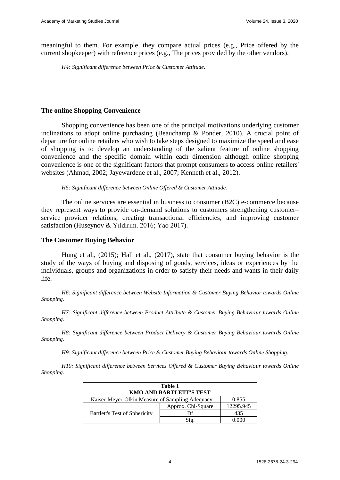meaningful to them. For example, they compare actual prices (e.g., Price offered by the current shopkeeper) with reference prices (e.g., The prices provided by the other vendors).

*H4: Significant difference between Price & Customer Attitude.*

#### **The online Shopping Convenience**

Shopping convenience has been one of the principal motivations underlying customer inclinations to adopt online purchasing (Beauchamp & Ponder, 2010). A crucial point of departure for online retailers who wish to take steps designed to maximize the speed and ease of shopping is to develop an understanding of the salient feature of online shopping convenience and the specific domain within each dimension although online shopping convenience is one of the significant factors that prompt consumers to access online retailers' websites (Ahmad, 2002; Jayewardene et al., 2007; Kenneth et al., 2012).

*H5: Significant difference between Online Offered & Customer Attitude*.

The online services are essential in business to consumer (B2C) e-commerce because they represent ways to provide on-demand solutions to customers strengthening customer– service provider relations, creating transactional efficiencies, and improving customer satisfaction (Huseynov & Yıldırım. 2016; Yao 2017).

#### **The Customer Buying Behavior**

Hung et al., (2015); Hall et al., (2017), state that consumer buying behavior is the study of the ways of buying and disposing of goods, services, ideas or experiences by the individuals, groups and organizations in order to satisfy their needs and wants in their daily life.

*H6: Significant difference between Website Information & Customer Buying Behavior towards Online Shopping.*

*H7: Significant difference between Product Attribute & Customer Buying Behaviour towards Online Shopping.*

*H8: Significant difference between Product Delivery & Customer Buying Behaviour towards Online Shopping.* 

*H9: Significant difference between Price & Customer Buying Behaviour towards Online Shopping.* 

*H10: Significant difference between Services Offered & Customer Buying Behaviour towards Online Shopping.*

| Table 1                                                  |                    |           |  |  |
|----------------------------------------------------------|--------------------|-----------|--|--|
| <b>KMO AND BARTLETT'S TEST</b>                           |                    |           |  |  |
| Kaiser-Meyer-Olkin Measure of Sampling Adequacy<br>0.855 |                    |           |  |  |
| Bartlett's Test of Sphericity                            | Approx. Chi-Square | 12295.945 |  |  |
|                                                          | Df                 | 435       |  |  |
|                                                          | Sig.               | .) OOO    |  |  |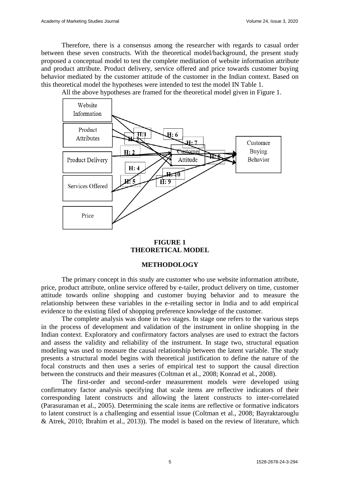Therefore, there is a consensus among the researcher with regards to casual order between these seven constructs. With the theoretical model/background, the present study proposed a conceptual model to test the complete meditation of website information attribute and product attribute. Product delivery, service offered and price towards customer buying behavior mediated by the customer attitude of the customer in the Indian context. Based on this theoretical model the hypotheses were intended to test the model IN Table 1.

All the above hypotheses are framed for the theoretical model given in Figure 1.



## **FIGURE 1 THEORETICAL MODEL**

## **METHODOLOGY**

The primary concept in this study are customer who use website information attribute, price, product attribute, online service offered by e-tailer, product delivery on time, customer attitude towards online shopping and customer buying behavior and to measure the relationship between these variables in the e-retailing sector in India and to add empirical evidence to the existing filed of shopping preference knowledge of the customer.

The complete analysis was done in two stages. In stage one refers to the various steps in the process of development and validation of the instrument in online shopping in the Indian context. Exploratory and confirmatory factors analyses are used to extract the factors and assess the validity and reliability of the instrument. In stage two, structural equation modeling was used to measure the causal relationship between the latent variable. The study presents a structural model begins with theoretical justification to define the nature of the focal constructs and then uses a series of empirical test to support the causal direction between the constructs and their measures (Coltman et al., 2008; Konrad et al., 2008).

The first-order and second-order measurement models were developed using confirmatory factor analysis specifying that scale items are reflective indicators of their corresponding latent constructs and allowing the latent constructs to inter-correlated (Parasuraman et al., 2005). Determining the scale items are reflective or formative indicators to latent construct is a challenging and essential issue (Coltman et al., 2008; Bayraktarouglu & Atrek, 2010; Ibrahim et al., 2013)). The model is based on the review of literature, which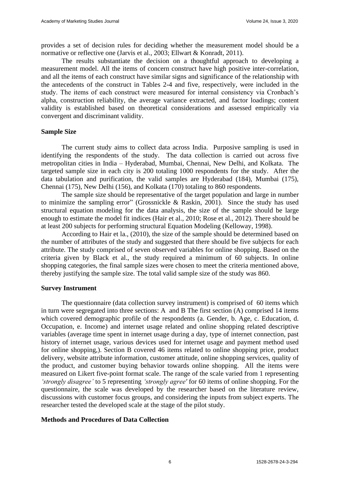provides a set of decision rules for deciding whether the measurement model should be a normative or reflective one (Jarvis et al., 2003; Ellwart & Konradt, 2011).

The results substantiate the decision on a thoughtful approach to developing a measurement model. All the items of concern construct have high positive inter-correlation, and all the items of each construct have similar signs and significance of the relationship with the antecedents of the construct in Tables 2-4 and five, respectively, were included in the study. The items of each construct were measured for internal consistency via Cronbach's alpha, construction reliability, the average variance extracted, and factor loadings; content validity is established based on theoretical considerations and assessed empirically via convergent and discriminant validity.

#### **Sample Size**

The current study aims to collect data across India. Purposive sampling is used in identifying the respondents of the study. The data collection is carried out across five metropolitan cities in India – Hyderabad, Mumbai, Chennai, New Delhi, and Kolkata. The targeted sample size in each city is 200 totaling 1000 respondents for the study. After the data tabulation and purification, the valid samples are Hyderabad (184), Mumbai (175), Chennai (175), New Delhi (156), and Kolkata (170) totaling to 860 respondents.

The sample size should be representative of the target population and large in number to minimize the sampling error" (Grossnickle & Raskin, 2001). Since the study has used structural equation modeling for the data analysis, the size of the sample should be large enough to estimate the model fit indices (Hair et al., 2010; Rose et al., 2012). There should be at least 200 subjects for performing structural Equation Modeling (Kelloway, 1998).

According to Hair et la., (2010), the size of the sample should be determined based on the number of attributes of the study and suggested that there should be five subjects for each attribute. The study comprised of seven observed variables for online shopping. Based on the criteria given by Black et al., the study required a minimum of 60 subjects. In online shopping categories, the final sample sizes were chosen to meet the criteria mentioned above, thereby justifying the sample size. The total valid sample size of the study was 860.

#### **Survey Instrument**

The questionnaire (data collection survey instrument) is comprised of 60 items which in turn were segregated into three sections: A and B The first section (A) comprised 14 items which covered demographic profile of the respondents (a. Gender, b. Age, c. Education, d. Occupation, e. Income) and internet usage related and online shopping related descriptive variables (average time spent in internet usage during a day, type of internet connection, past history of internet usage, various devices used for internet usage and payment method used for online shopping,). Section B covered 46 items related to online shopping price, product delivery, website attribute information, customer attitude, online shopping services, quality of the product, and customer buying behavior towards online shopping. All the items were measured on Likert five-point format scale. The range of the scale varied from 1 representing *'strongly disagree'* to 5 representing *'strongly agree'* for 60 items of online shopping. For the questionnaire, the scale was developed by the researcher based on the literature review, discussions with customer focus groups, and considering the inputs from subject experts. The researcher tested the developed scale at the stage of the pilot study.

#### **Methods and Procedures of Data Collection**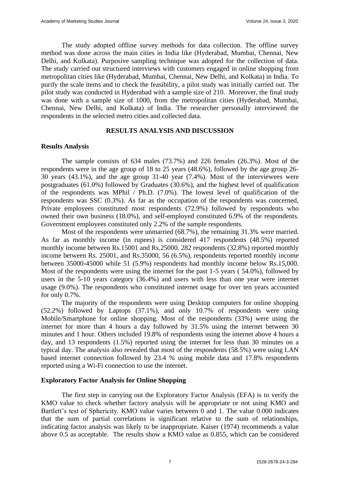The study adopted offline survey methods for data collection. The offline survey method was done across the main cities in India like (Hyderabad, Mumbai, Chennai, New Delhi, and Kolkata). Purposive sampling technique was adopted for the collection of data. The study carried out structured interviews with customers engaged in online shopping from metropolitan cities like (Hyderabad, Mumbai, Chennai, New Delhi, and Kolkata) in India. To purify the scale items and to check the feasibility, a pilot study was initially carried out. The pilot study was conducted in Hyderabad with a sample size of 210. Moreover, the final study was done with a sample size of 1000, from the metropolitan cities (Hyderabad, Mumbai, Chennai, New Delhi, and Kolkata) of India. The researcher personally interviewed the respondents in the selected metro cities and collected data.

## **RESULTS ANALYSIS AND DISCUSSION**

#### **Results Analysis**

The sample consists of 634 males (73.7%) and 226 females (26.3%). Most of the respondents were in the age group of 18 to 25 years (48.6%), followed by the age group 26- 30 years (43.1%), and the age group 31-40 year (7.4%). Most of the interviewees were postgraduates (61.0%) followed by Graduates (30.6%), and the highest level of qualification of the respondents was MPhil / Ph.D. (7.0%). The lowest level of qualification of the respondents was SSC (0.3%). As far as the occupation of the respondents was concerned, Private employees constituted most respondents (72.9%) followed by respondents who owned their own business (18.0%), and self-employed constituted 6.9% of the respondents. Government employees constituted only 2.2% of the sample respondents.

Most of the respondents were unmarried (68.7%), the remaining 31.3% were married. As far as monthly income (in rupees) is considered 417 respondents (48.5%) reported monthly income between Rs.15001 and Rs.25000. 282 respondents (32.8%) reported monthly income between Rs. 25001, and Rs.35000, 56 (6.5%), respondents reported monthly income between 35000-45000 while 51 (5.9%) respondents had monthly income below Rs.15,000. Most of the respondents were using the internet for the past 1-5 years (54.0%), followed by users in the 5-10 years category (36.4%) and users with less than one year were internet usage (9.0%). The respondents who constituted internet usage for over ten years accounted for only 0.7%.

The majority of the respondents were using Desktop computers for online shopping (52.2%) followed by Laptops (37.1%), and only 10.7% of respondents were using Mobile/Smartphone for online shopping. Most of the respondents (33%) were using the internet for more than 4 hours a day followed by 31.5% using the internet between 30 minutes and 1 hour. Others included 19.8% of respondents using the internet above 4 hours a day, and 13 respondents (1.5%) reported using the internet for less than 30 minutes on a typical day. The analysis also revealed that most of the respondents (58.5%) were using LAN based internet connection followed by 23.4 % using mobile data and 17.8% respondents reported using a Wi-Fi connection to use the internet.

#### **Exploratory Factor Analysis for Online Shopping**

The first step in carrying out the Exploratory Factor Analysis (EFA) is to verify the KMO value to check whether factory analysis will be appropriate or not using KMO and Bartlett's test of Sphericity. KMO value varies between 0 and 1. The value 0.000 indicates that the sum of partial correlations is significant relative to the sum of relationships, indicating factor analysis was likely to be inappropriate. Kaiser (1974) recommends a value above 0.5 as acceptable. The results show a KMO value as 0.855, which can be considered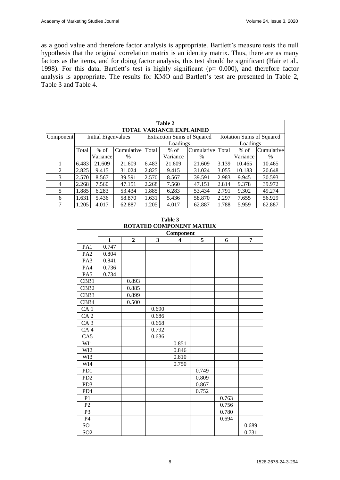as a good value and therefore factor analysis is appropriate. Bartlett's measure tests the null hypothesis that the original correlation matrix is an identity matrix. Thus, there are as many factors as the items, and for doing factor analysis, this test should be significant (Hair et al., 1998). For this data, Bartlett's test is highly significant (p= 0.000), and therefore factor analysis is appropriate. The results for KMO and Bartlett's test are presented in Table 2, Table 3 and Table 4.

| Table 2<br><b>TOTAL VARIANCE EXPLAINED</b> |       |                     |            |       |                                   |            |       |          |                                 |
|--------------------------------------------|-------|---------------------|------------|-------|-----------------------------------|------------|-------|----------|---------------------------------|
| Component                                  |       | Initial Eigenvalues |            |       | <b>Extraction Sums of Squared</b> |            |       |          | <b>Rotation Sums of Squared</b> |
|                                            |       |                     |            |       | Loadings                          |            |       | Loadings |                                 |
|                                            | Total | $%$ of              | Cumulative | Total | $%$ of                            | Cumulative | Total | $%$ of   | Cumulative                      |
|                                            |       | Variance            | $\%$       |       | Variance                          | $\%$       |       | Variance | $\%$                            |
|                                            | 6.483 | 21.609              | 21.609     | 6.483 | 21.609                            | 21.609     | 3.139 | 10.465   | 10.465                          |
| 2                                          | 2.825 | 9.415               | 31.024     | 2.825 | 9.415                             | 31.024     | 3.055 | 10.183   | 20.648                          |
| 3                                          | 2.570 | 8.567               | 39.591     | 2.570 | 8.567                             | 39.591     | 2.983 | 9.945    | 30.593                          |
| 4                                          | 2.268 | 7.560               | 47.151     | 2.268 | 7.560                             | 47.151     | 2.814 | 9.378    | 39.972                          |
| 5                                          | 1.885 | 6.283               | 53.434     | 1.885 | 6.283                             | 53.434     | 2.791 | 9.302    | 49.274                          |
| 6                                          | 1.631 | 5.436               | 58.870     | 1.631 | 5.436                             | 58.870     | 2.297 | 7.655    | 56.929                          |
| 7                                          | 1.205 | 4.017               | 62.887     | 1.205 | 4.017                             | 62.887     | 1.788 | 5.959    | 62.887                          |

|                  |              |                |       | Table 3                 | ROTATED COMPONENT MATRIX |       |       |
|------------------|--------------|----------------|-------|-------------------------|--------------------------|-------|-------|
|                  |              |                |       | Component               |                          |       |       |
|                  | $\mathbf{1}$ | $\overline{2}$ | 3     | $\overline{\mathbf{4}}$ | 5                        | 6     | 7     |
| PA1              | 0.747        |                |       |                         |                          |       |       |
| PA <sub>2</sub>  | 0.804        |                |       |                         |                          |       |       |
| PA3              | 0.841        |                |       |                         |                          |       |       |
| PA4              | 0.736        |                |       |                         |                          |       |       |
| PA5              | 0.734        |                |       |                         |                          |       |       |
| CBB1             |              | 0.893          |       |                         |                          |       |       |
| CBB <sub>2</sub> |              | 0.885          |       |                         |                          |       |       |
| CBB3             |              | 0.899          |       |                         |                          |       |       |
| CBB4             |              | 0.500          |       |                         |                          |       |       |
| CA <sub>1</sub>  |              |                | 0.690 |                         |                          |       |       |
| CA <sub>2</sub>  |              |                | 0.686 |                         |                          |       |       |
| CA <sub>3</sub>  |              |                | 0.668 |                         |                          |       |       |
| CA <sub>4</sub>  |              |                | 0.792 |                         |                          |       |       |
| CA5              |              |                | 0.636 |                         |                          |       |       |
| WI1              |              |                |       | 0.851                   |                          |       |       |
| W <sub>12</sub>  |              |                |       | 0.846                   |                          |       |       |
| WI3              |              |                |       | 0.810                   |                          |       |       |
| WI4              |              |                |       | 0.750                   |                          |       |       |
| PD1              |              |                |       |                         | 0.749                    |       |       |
| PD <sub>2</sub>  |              |                |       |                         | 0.809                    |       |       |
| PD3              |              |                |       |                         | 0.867                    |       |       |
| PD4              |              |                |       |                         | 0.752                    |       |       |
| P1               |              |                |       |                         |                          | 0.763 |       |
| P <sub>2</sub>   |              |                |       |                         |                          | 0.756 |       |
| P <sub>3</sub>   |              |                |       |                         |                          | 0.780 |       |
| P4               |              |                |       |                         |                          | 0.694 |       |
| SO <sub>1</sub>  |              |                |       |                         |                          |       | 0.689 |
| SO <sub>2</sub>  |              |                |       |                         |                          |       | 0.731 |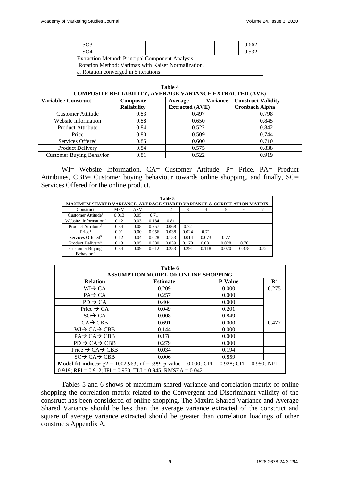| SO <sub>3</sub>                                     |  |  |  |  |  | 0.662 |
|-----------------------------------------------------|--|--|--|--|--|-------|
| SO <sub>4</sub>                                     |  |  |  |  |  | 0.532 |
| Extraction Method: Principal Component Analysis.    |  |  |  |  |  |       |
| Rotation Method: Varimax with Kaiser Normalization. |  |  |  |  |  |       |
| a. Rotation converged in 5 iterations               |  |  |  |  |  |       |

| Table 4<br><b>COMPOSITE RELIABILITY, AVERAGE VARIANCE EXTRACTED (AVE)</b> |                    |                                                         |                       |  |
|---------------------------------------------------------------------------|--------------------|---------------------------------------------------------|-----------------------|--|
| Variable / Construct                                                      | Composite          | <b>Variance</b><br><b>Construct Validity</b><br>Average |                       |  |
|                                                                           | <b>Reliability</b> | <b>Extracted (AVE)</b>                                  | <b>Cronbach Alpha</b> |  |
| <b>Customer Attitude</b>                                                  | 0.83               | 0.497                                                   | 0.798                 |  |
| Website information                                                       | 0.88               | 0.650                                                   | 0.845                 |  |
| <b>Product Attribute</b>                                                  | 0.84               | 0.522                                                   | 0.842                 |  |
| Price                                                                     | 0.80               | 0.509                                                   | 0.744                 |  |
| Services Offered                                                          | 0.85               | 0.600                                                   | 0.710                 |  |
| Product Delivery                                                          | 0.84               | 0.575                                                   | 0.838                 |  |
| <b>Customer Buying Behavior</b>                                           | 0.81               | 0.522                                                   | 0.919                 |  |

WI= Website Information, CA= Customer Attitude, P= Price, PA= Product Attributes, CBB= Customer buying behaviour towards online shopping, and finally, SO= Services Offered for the online product.

|                                                                                  |            |            |       | Table 5 |       |       |       |       |      |
|----------------------------------------------------------------------------------|------------|------------|-------|---------|-------|-------|-------|-------|------|
| <b>MAXIMUM SHARED VARIANCE, AVERAGE SHARED VARIANCE &amp; CORRELATION MATRIX</b> |            |            |       |         |       |       |       |       |      |
| Construct                                                                        | <b>MSV</b> | <b>ASV</b> |       | 2       | 3     |       | 5     | 6     |      |
| Customer Attitude <sup>1</sup>                                                   | 0.013      | 0.05       | 0.71  |         |       |       |       |       |      |
| Website Information <sup>2</sup>                                                 | 0.12       | 0.03       | 0.184 | 0.81    |       |       |       |       |      |
| Product Attribute <sup>3</sup>                                                   | 0.34       | 0.08       | 0.257 | 0.068   | 0.72  |       |       |       |      |
| Price <sup>4</sup>                                                               | 0.01       | 0.00       | 0.056 | 0.038   | 0.024 | 0.71  |       |       |      |
| Services Offered <sup>5</sup>                                                    | 0.12       | 0.04       | 0.028 | 0.153   | 0.014 | 0.073 | 0.77  |       |      |
| Product Delivery <sup>6</sup>                                                    | 0.13       | 0.05       | 0.380 | 0.039   | 0.170 | 0.081 | 0.028 | 0.76  |      |
| <b>Customer Buying</b><br>Behavior <sup>7</sup>                                  | 0.34       | 0.09       | 0.612 | 0.253   | 0.291 | 0.118 | 0.020 | 0.378 | 0.72 |

| Table 6                                                                                                   |                                            |                |                |  |
|-----------------------------------------------------------------------------------------------------------|--------------------------------------------|----------------|----------------|--|
|                                                                                                           | <b>ASSUMPTION MODEL OF ONLINE SHOPPING</b> |                |                |  |
| <b>Relation</b>                                                                                           | <b>Estimate</b>                            | <b>P-Value</b> | $\mathbb{R}^2$ |  |
| $WI \rightarrow CA$                                                                                       | 0.209                                      | 0.000          | 0.275          |  |
| $PA \rightarrow CA$                                                                                       | 0.257                                      | 0.000          |                |  |
| $PD \rightarrow CA$                                                                                       | 0.404                                      | 0.000          |                |  |
| Price $\rightarrow$ CA                                                                                    | 0.049                                      | 0.201          |                |  |
| $SO \rightarrow CA$                                                                                       | 0.008                                      | 0.849          |                |  |
| $CA \rightarrow CBB$                                                                                      | 0.691                                      | 0.000          | 0.477          |  |
| $WI\rightarrow CA\rightarrow CBB$                                                                         | 0.144                                      | 0.000          |                |  |
| $PA\rightarrow CA\rightarrow CBB$                                                                         | 0.178                                      | 0.000          |                |  |
| $PD \rightarrow CA \rightarrow CBB$                                                                       | 0.279                                      | 0.000          |                |  |
| Price $\rightarrow$ CA $\rightarrow$ CBB                                                                  | 0.034                                      | 0.194          |                |  |
| $SO \rightarrow CA \rightarrow CBB$                                                                       | 0.006                                      | 0.859          |                |  |
| <b>Model fit indices:</b> $\chi$ 2 = 1002.983; df = 399; p-value = 0.000; GFI = 0.928; CFI = 0.950; NFI = |                                            |                |                |  |
| 0.919; RFI = 0.912; IFI = 0.950; TLI = 0.945; RMSEA = 0.042.                                              |                                            |                |                |  |

Tables 5 and 6 shows of maximum shared variance and correlation matrix of online shopping the correlation matrix related to the Convergent and Discriminant validity of the construct has been considered of online shopping. The Maxim Shared Variance and Average Shared Variance should be less than the average variance extracted of the construct and square of average variance extracted should be greater than correlation loadings of other constructs Appendix A.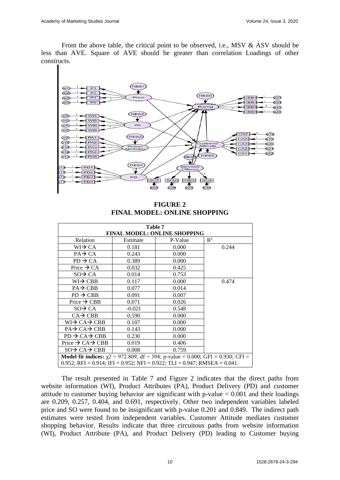From the above table, the critical point to be observed, i.e., MSV & ASV should be less than AVE. Square of AVE should be greater than correlation Loadings of other constructs.



**FIGURE 2 FINAL MODEL: ONLINE SHOPPING**

|                                                                                             |          | Table 7                             |                |
|---------------------------------------------------------------------------------------------|----------|-------------------------------------|----------------|
|                                                                                             |          | <b>FINAL MODEL: ONLINE SHOPPING</b> |                |
| Relation                                                                                    | Estimate | P-Value                             | $\mathbb{R}^2$ |
| $WI \rightarrow CA$                                                                         | 0.181    | 0.000                               | 0.244          |
| $PA \rightarrow CA$                                                                         | 0.243    | 0.000                               |                |
| $PD \rightarrow CA$                                                                         | 0.389    | 0.000                               |                |
| Price $\rightarrow$ CA                                                                      | 0.032    | 0.425                               |                |
| $SO \rightarrow CA$                                                                         | 0.014    | 0.753                               |                |
| $WI\rightarrow CBB$                                                                         | 0.117    | 0.000                               | 0.474          |
| $PA \rightarrow CBB$                                                                        | 0.077    | 0.014                               |                |
| $PD \rightarrow CBB$                                                                        | 0.091    | 0.007                               |                |
| Price $\rightarrow$ CBB                                                                     | 0.071    | 0.026                               |                |
| $SO \rightarrow CA$                                                                         | $-0.021$ | 0.548                               |                |
| $CA \rightarrow CBB$                                                                        | 0.590    | 0.000                               |                |
| $WI\rightarrow CA\rightarrow CBB$                                                           | 0.107    | 0.000                               |                |
| $PA \rightarrow CA \rightarrow CBB$                                                         | 0.143    | 0.000                               |                |
| $PD \rightarrow CA \rightarrow CBB$                                                         | 0.230    | 0.000                               |                |
| Price $\rightarrow$ CA $\rightarrow$ CBB                                                    | 0.019    | 0.406                               |                |
| $SO \rightarrow CA \rightarrow CBB$                                                         | 0.008    | 0.759                               |                |
| <b>Model fit indices:</b> $\chi$ 2 = 972.809; df = 394; p-value = 0.000; GFI = 0.930; CFI = |          |                                     |                |
| 0.952; RFI = 0.914; IFI = 0.952; NFI = 0.922; TLI = 0.947; RMSEA = 0.041.                   |          |                                     |                |

The result presented in Table 7 and Figure 2 indicates that the direct paths from website information (WI), Product Attributes (PA), Product Delivery (PD) and customer attitude to customer buying behavior are significant with  $p$ -value  $< 0.001$  and their loadings are 0.209, 0.257, 0.404, and 0.691, respectively. Other two independent variables labeled price and SO were found to be insignificant with p-value 0.201 and 0.849. The indirect path estimates were tested from independent variables. Customer Attitude mediates customer shopping behavior. Results indicate that three circuitous paths from website information (WI), Product Attribute (PA), and Product Delivery (PD) leading to Customer buying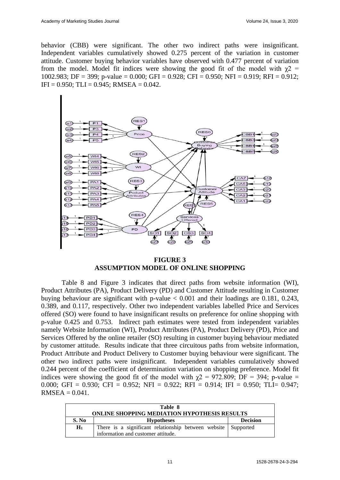behavior (CBB) were significant. The other two indirect paths were insignificant. Independent variables cumulatively showed 0.275 percent of the variation in customer attitude. Customer buying behavior variables have observed with 0.477 percent of variation from the model. Model fit indices were showing the good fit of the model with  $\chi$ 2 = 1002.983; DF = 399; p-value = 0.000; GFI = 0.928; CFI = 0.950; NFI = 0.919; RFI = 0.912;  $IFI = 0.950$ ;  $TLI = 0.945$ ; RMSEA = 0.042.



**FIGURE 3 ASSUMPTION MODEL OF ONLINE SHOPPING**

Table 8 and Figure 3 indicates that direct paths from website information (WI), Product Attributes (PA), Product Delivery (PD) and Customer Attitude resulting in Customer buying behaviour are significant with p-value < 0.001 and their loadings are 0.181, 0.243, 0.389, and 0.117, respectively. Other two independent variables labelled Price and Services offered (SO) were found to have insignificant results on preference for online shopping with p-value 0.425 and 0.753. Indirect path estimates were tested from independent variables namely Website Information (WI), Product Attributes (PA), Product Delivery (PD), Price and Services Offered by the online retailer (SO) resulting in customer buying behaviour mediated by customer attitude. Results indicate that three circuitous paths from website information, Product Attribute and Product Delivery to Customer buying behaviour were significant. The other two indirect paths were insignificant. Independent variables cumulatively showed 0.244 percent of the coefficient of determination variation on shopping preference. Model fit indices were showing the good fit of the model with  $\gamma$ 2 = 972.809; DF = 394; p-value = 0.000; GFI = 0.930; CFI = 0.952; NFI = 0.922; RFI = 0.914; IFI = 0.950; TLI= 0.947;  $RMSEA = 0.041$ .

| Table 8                                      |                                                               |                 |  |  |
|----------------------------------------------|---------------------------------------------------------------|-----------------|--|--|
| ONLINE SHOPPING MEDIATION HYPOTHESIS RESULTS |                                                               |                 |  |  |
| S. No                                        | <b>Hypotheses</b>                                             | <b>Decision</b> |  |  |
| $H_1$                                        | There is a significant relationship between website Supported |                 |  |  |
|                                              | information and customer attitude.                            |                 |  |  |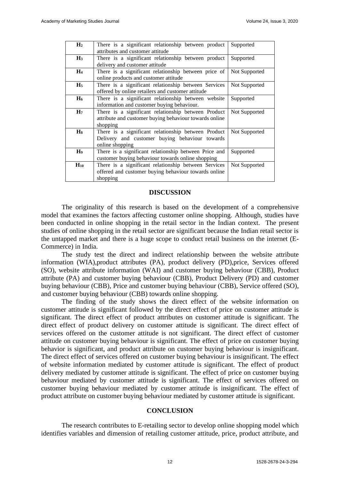| H <sub>2</sub> | There is a significant relationship between product<br>attributes and customer attitude                                   | Supported     |
|----------------|---------------------------------------------------------------------------------------------------------------------------|---------------|
| $H_3$          | There is a significant relationship between product<br>delivery and customer attitude                                     | Supported     |
| H <sub>4</sub> | There is a significant relationship between price of<br>online products and customer attitude                             | Not Supported |
| H <sub>5</sub> | There is a significant relationship between Services<br>offered by online retailers and customer attitude                 | Not Supported |
| $H_6$          | There is a significant relationship between website<br>information and customer buying behaviour.                         | Supported     |
| H <sub>7</sub> | There is a significant relationship between Product<br>attribute and customer buying behaviour towards online<br>shopping | Not Supported |
| $H_8$          | There is a significant relationship between Product<br>Delivery and customer buying behaviour towards<br>online shopping  | Not Supported |
| H <sub>9</sub> | There is a significant relationship between Price and<br>customer buying behaviour towards online shopping                | Supported     |
| $H_{10}$       | There is a significant relationship between Services<br>offered and customer buying behaviour towards online<br>shopping  | Not Supported |

#### **DISCUSSION**

The originality of this research is based on the development of a comprehensive model that examines the factors affecting customer online shopping. Although, studies have been conducted in online shopping in the retail sector in the Indian context. The present studies of online shopping in the retail sector are significant because the Indian retail sector is the untapped market and there is a huge scope to conduct retail business on the internet (E-Commerce) in India.

The study test the direct and indirect relationship between the website attribute information (WIA),product attributes (PA), product delivery (PD),price, Services offered (SO), website attribute information (WAI) and customer buying behaviour (CBB), Product attribute (PA) and customer buying behaviour (CBB), Product Delivery (PD) and customer buying behaviour (CBB), Price and customer buying behaviour (CBB), Service offered (SO), and customer buying behaviour (CBB) towards online shopping.

The finding of the study shows the direct effect of the website information on customer attitude is significant followed by the direct effect of price on customer attitude is significant. The direct effect of product attributes on customer attitude is significant. The direct effect of product delivery on customer attitude is significant. The direct effect of services offered on the customer attitude is not significant. The direct effect of customer attitude on customer buying behaviour is significant. The effect of price on customer buying behavior is significant, and product attribute on customer buying behaviour is insignificant. The direct effect of services offered on customer buying behaviour is insignificant. The effect of website information mediated by customer attitude is significant. The effect of product delivery mediated by customer attitude is significant. The effect of price on customer buying behaviour mediated by customer attitude is significant. The effect of services offered on customer buying behaviour mediated by customer attitude is insignificant. The effect of product attribute on customer buying behaviour mediated by customer attitude is significant.

#### **CONCLUSION**

The research contributes to E-retailing sector to develop online shopping model which identifies variables and dimension of retailing customer attitude, price, product attribute, and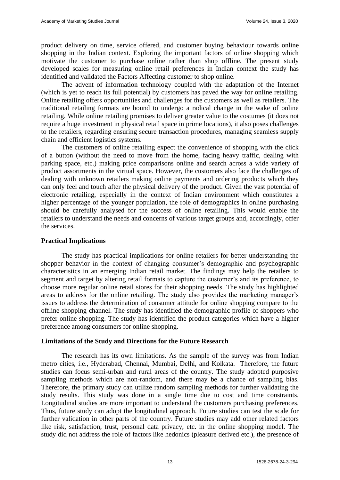product delivery on time, service offered, and customer buying behaviour towards online shopping in the Indian context. Exploring the important factors of online shopping which motivate the customer to purchase online rather than shop offline. The present study developed scales for measuring online retail preferences in Indian context the study has identified and validated the Factors Affecting customer to shop online.

The advent of information technology coupled with the adaptation of the Internet (which is yet to reach its full potential) by customers has paved the way for online retailing. Online retailing offers opportunities and challenges for the customers as well as retailers. The traditional retailing formats are bound to undergo a radical change in the wake of online retailing. While online retailing promises to deliver greater value to the costumes (it does not require a huge investment in physical retail space in prime locations), it also poses challenges to the retailers, regarding ensuring secure transaction procedures, managing seamless supply chain and efficient logistics systems.

The customers of online retailing expect the convenience of shopping with the click of a button (without the need to move from the home, facing heavy traffic, dealing with parking space, etc.) making price comparisons online and search across a wide variety of product assortments in the virtual space. However, the customers also face the challenges of dealing with unknown retailers making online payments and ordering products which they can only feel and touch after the physical delivery of the product. Given the vast potential of electronic retailing, especially in the context of Indian environment which constitutes a higher percentage of the younger population, the role of demographics in online purchasing should be carefully analysed for the success of online retailing. This would enable the retailers to understand the needs and concerns of various target groups and, accordingly, offer the services.

## **Practical Implications**

The study has practical implications for online retailers for better understanding the shopper behavior in the context of changing consumer's demographic and psychographic characteristics in an emerging Indian retail market. The findings may help the retailers to segment and target by altering retail formats to capture the customer's and its preference, to choose more regular online retail stores for their shopping needs. The study has highlighted areas to address for the online retailing. The study also provides the marketing manager's issues to address the determination of consumer attitude for online shopping compare to the offline shopping channel. The study has identified the demographic profile of shoppers who prefer online shopping. The study has identified the product categories which have a higher preference among consumers for online shopping.

## **Limitations of the Study and Directions for the Future Research**

The research has its own limitations. As the sample of the survey was from Indian metro cities, i.e., Hyderabad, Chennai, Mumbai, Delhi, and Kolkata. Therefore, the future studies can focus semi-urban and rural areas of the country. The study adopted purposive sampling methods which are non-random, and there may be a chance of sampling bias. Therefore, the primary study can utilize random sampling methods for further validating the study results. This study was done in a single time due to cost and time constraints. Longitudinal studies are more important to understand the customers purchasing preferences. Thus, future study can adopt the longitudinal approach. Future studies can test the scale for further validation in other parts of the country. Future studies may add other related factors like risk, satisfaction, trust, personal data privacy, etc. in the online shopping model. The study did not address the role of factors like hedonics (pleasure derived etc.), the presence of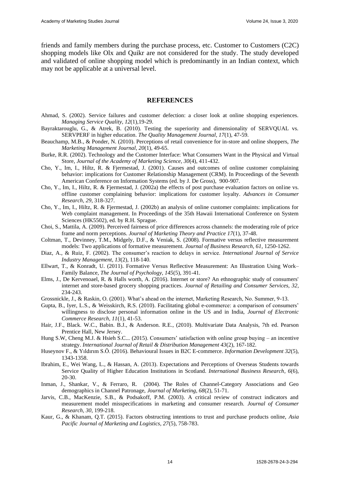friends and family members during the purchase process, etc. Customer to Customers (C2C) shopping models like Olx and Quikr are not considered for the study. The study developed and validated of online shopping model which is predominantly in an Indian context, which may not be applicable at a universal level.

#### **REFERENCES**

- Ahmad, S. (2002). Service failures and customer defection: a closer look at online shopping experiences. *Managing Service Quality, 12*(1),19-29.
- Bayraktarouglu, G., & Atrek, B. (2010). Testing the superiority and dimensionality of SERVQUAL vs. SERVPERF in higher education. *The Quality Management Journal, 17*(1), 47-59.
- Beauchamp, M.B., & Ponder, N. (2010). Perceptions of retail convenience for in-store and online shoppers, *The Marketing Management Journal, 20*(1), 49-65.
- Burke, R.R. (2002). Technology and the Customer Interface: What Consumers Want in the Physical and Virtual Store, *Journal of the Academy of Marketing Science, 30*(4), 411-432.
- Cho, Y., Im, I., Hiltz, R. & Fjermestad, J. (2001). Causes and outcomes of online customer complaining behavior: implications for Customer Relationship Management (CRM). In Proceedings of the Seventh American Conference on Information Systems (ed. by J. De Gross), 900-907.
- Cho, Y., Im, I., Hiltz, R. & Fjermestad, J. (2002a) the effects of post purchase evaluation factors on online vs. offline customer complaining behavior: implications for customer loyalty. *Advances in Consumer Research, 29*, 318-327.
- Cho, Y., Im, I., Hiltz, R. & Fjermestad, J. (2002b) an analysis of online customer complaints: implications for Web complaint management. In Proceedings of the 35th Hawaii International Conference on System Sciences (HK5502), ed. by R.H. Sprague.
- Choi, S., Mattila, A. (2009). Perceived fairness of price differences across channels: the moderating role of price frame and norm perceptions. *Journal of Marketing Theory and Practice 17*(1), 37-48.
- Coltman, T., Devinney, T.M., Midgely, D.F., & Veniak, S. (2008). Formative versus reflective measurement models: Two applications of formative measurement. *Journal of Business Research, 61*, 1250-1262.
- Diaz, A., & Ruiz, F. (2002). The consumer's reaction to delays in service. *International Journal of Service Industry Management, 13*(2), 118-140.
- Ellwart, T., & Konradt, U. (2011). Formative Versus Reflective Measurement: An Illustration Using Work– Family Balance, *The Journal of Psychology, 145*(5), 391-41.
- Elms, J., De Kervenoael, R. & Halls worth, A. (2016). Internet or store? An ethnographic study of consumers' internet and store-based grocery shopping practices. *Journal of Retailing and Consumer Services, 32*, 234-243.
- Grossnickle, J., & Raskin, O. (2001). What's ahead on the internet, Marketing Research, No. Summer, 9-13.
- Gupta, B., Iyer, L.S., & Weisskirch, R.S. (2010). Facilitating global e-commerce: a comparison of consumers' willingness to disclose personal information online in the US and in India, *Journal of Electronic Commerce Research, 11*(1), 41-53.
- Hair, J.F., Black. W.C., Babin. B.J., & Anderson. R.E., (2010). Multivariate Data Analysis, 7th ed. Pearson Prentice Hall, New Jersey.
- Hung S.W, Cheng M.J. & Hsieh S.C... (2015). Consumers' satisfaction with online group buying an incentive strategy. *International Journal of Retail & Distribution Management 43*(2), 167-182.
- Huseynov F., & Yıldırım S.Ö. (2016). Behavioural Issues in B2C E-commerce. *Information Development 32*(5), 1343-1358.
- Ibrahim, E., Wei Wang, L., & Hassan, A. (2013). Expectations and Perceptions of Overseas Students towards Service Quality of Higher Education Institutions in Scotland. *International Business Research, 6*(6), 20-30.
- Inman, J., Shankar, V., & Ferraro, R. (2004). The Roles of Channel-Category Associations and Geo demographics in Channel Patronage, *Journal of Marketing, 68*(2), 51-71.
- Jarvis, C.B., MacKenzie, S.B., & Podsakoff, P.M. (2003). A critical review of construct indicators and measurement model misspecifications in marketing and consumer research. *Journal of Consumer Research, 30*, 199-218.
- Kaur, G., & Khanam, Q.T. (2015). Factors obstructing intentions to trust and purchase products online, *Asia Pacific Journal of Marketing and Logistics, 27*(5), 758-783.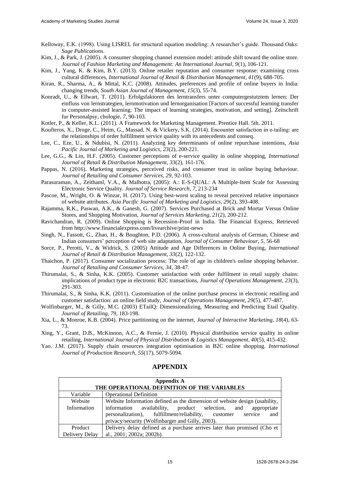- Kelloway, E.K. (1998). Using LISREL for structural equation modeling: A researcher's guide. Thousand Oaks: *Sage Publications*.
- Kim, J., & Park, J. (2005). A consumer shopping channel extension model: attitude shift toward the online store. *Journal of Fashion Marketing and Management: An International Journal, 9*(1), 106-121.
- Kim, J., Yang, K. & Kim, B.Y. (2013). Online retailer reputation and consumer response: examining cross cultural differences*, International Journal of Retail & Distribution Management, 41*(9), 688-705.
- Kiran, R., Sharma, A., & Mittal, K.C. (2008). Attitudes, preferences and profile of online buyers in India: changing trends, *South Asian Journal of Management, 15*(3), 55-74.
- Konradt, U., & Ellwart, T. (2011). Erfolgsfaktoren des lerntransfers unter computergestutztem lernen: Der einfluss von lernstrategien, lernmotivation und lernorganisation [Factors of successful learning transfer in computer-assisted learning: The impact of learning strategies, motivation, and setting]. Zeitschrift fur Personalpsy, chologie, *7*, 90-103.
- [Kotler,](https://www.scholars.northwestern.edu/en/persons/philip-kotler) P., & Keller, K.L. (2011). A Framework for Marketing Management. [Prentice Hall.](https://www.scholars.northwestern.edu/en/publications/a-framework-for-marketing-management) 5th. 2011.
- Koufteros, X., Droge, C., Heim, G., Massad, N. & Vickery, S.K. (2014). Encounter satisfaction in e‐tailing: are the relationships of order fulfillment service quality with its antecedents and conseq.
- Lee, C., Eze, U., & Ndubisi, N. (2011). Analyzing key determinants of online repurchase intentions, *Asia Pacific Journal of Marketing and Logistics, 23*(2), 200-221.
- Lee, G.G., & Lin, H.F. (2005). Customer perceptions of e-service quality in online shopping, *International Journal of Retail & Distribution Management, 33*(2), 161-176.
- Pappas, N. (2016). Marketing strategies, perceived risks, and consumer trust in online buying behaviour. *Journal of Retailing and Consumer Services, 29*, 92-103.
- Parasuraman, A., Zeithaml, V.A., & Malhotra, (2005): A.: E-S-QUAL: A Multiple-Item Scale for Assessing Electronic Service Quality. *Journal of Service Research, 7,* 213-234
- Pascoe, M., Wright, O. & Winzar, H. (2017). Using best-worst scaling to reveal perceived relative importance of website attributes. *Asia Pacific Journal of Marketing and Logistics, 29*(2), 393-408.
- Rajamma, R.K., Paswan, A.K., & Ganesh, G. (2007). Services Purchased at Brick and Mortar Versus Online Stores, and Shopping Motivation, *Journal of Services Marketing, 21*(2), 200-212.
- Ravichandran, R. (2009). Online Shopping is Recession-Proof in India. The Financial Express, Retrieved from <http://www.financialexpress.com/livearchive/print-news>
- Singh, N., Fassott, G., Zhao, H., & Boughton, P.D. (2006). A cross-cultural analysis of German, Chinese and Indian consumers' perception of web site adaptation, *Journal of Consumer Behaviour, 5*, 56-68
- Sorce, P., Perotti, V., & Widrick, S. (2005) Attitude and Age Differences in Online Buying, *International Journal of Retail & Distribution Management, 33*(2), 122-132.
- Thaichon, P. (2017). Consumer socialization process: The role of age in children's online shopping behavior. *Journal of Retailing and Consumer Services, 34*, 38-47.
- Thirumalai, S., & Sinha, K.K. (2005). Customer satisfaction with order fulfilment in retail supply chains: implications of product type in electronic B2C transactions, *Journal of Operations Management, 23*(3), 291-303.
- Thirumalai, S., & Sinha, K.K. (2011). Customization of the online purchase process in electronic retailing and customer satisfaction: an online field study, *Journal of Operations Management, 29*(5), 477-487.
- Wolfinbarger, M., & Gilly, M.C. (2003) ETailQ: Dimensionalizing, Measuring and Predicting Etail Quality. *Journal of Retailing, 79*, 183-198.
- Xia, L., & Monroe, K.B. (2004). Price partitioning on the internet, *Journal of Interactive Marketing, 18*(4), 63- 73.
- Xing, Y., Grant, D.B., McKinnon, A.C., & Fernie, J. (2010). Physical distribution service quality in online retailing, *International Journal of Physical Distribution & Logistics Management, 40*(5), 415-432.
- Yao. J.M. (2017). Supply chain resources integration optimisation in B2C online shopping. *International Journal of Production Research, 55*(17), 5079-5094.

#### **APPENDIX**

| Appendix A<br>THE OPERATIONAL DEFINITION OF THE VARIABLES |                                                                            |  |  |
|-----------------------------------------------------------|----------------------------------------------------------------------------|--|--|
| Variable                                                  | <b>Operational Definition</b>                                              |  |  |
| Website                                                   | Website Information defined as the dimension of website design (usability, |  |  |
| Information                                               | availability, product selection, and<br>information<br>appropriate         |  |  |
|                                                           | personalization), fulfillment/reliability, customer service<br>and         |  |  |
|                                                           | privacy/security (Wolfinbarger and Gilly, 2003).                           |  |  |
| Product                                                   | Delivery delay defined as a purchase arrives later than promised (Cho et   |  |  |
| Delivery Delay                                            | al., 2001; 2002a; 2002b).                                                  |  |  |